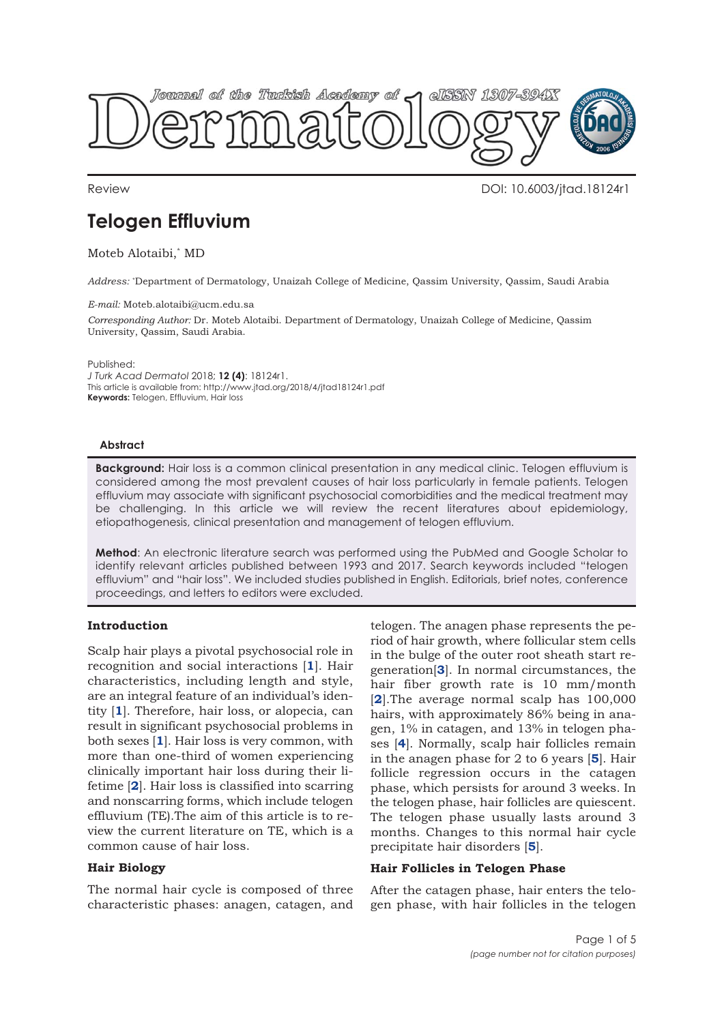

Review DOI: 10.6003/jtad.18124r1

# **Telogen Effluvium**

Moteb Alotaibi,\* MD

*Address:* \* Department of Dermatology, Unaizah College of Medicine, Qassim University, Qassim, Saudi Arabia

#### *E-mail:* Moteb.alotaibi@ucm.edu.sa

*Corresponding Author:* Dr. Moteb Alotaibi. Department of Dermatology, Unaizah College of Medicine, Qassim University, Qassim, Saudi Arabia.

Published:

*J Turk Acad Dermatol* 2018; **12 (4)**: 18124r1. This article is available from: http://www.jtad.org/2018/4/jtad18124r1.pdf **Keywords:** Telogen, Effluvium, Hair loss

#### **Abstract**

**Background:** Hair loss is a common clinical presentation in any medical clinic. Telogen effluvium is considered among the most prevalent causes of hair loss particularly in female patients. Telogen effluvium may associate with significant psychosocial comorbidities and the medical treatment may be challenging. In this article we will review the recent literatures about epidemiology, etiopathogenesis, clinical presentation and management of telogen effluvium.

**Method**: An electronic literature search was performed using the PubMed and Google Scholar to identify relevant articles published between 1993 and 2017. Search keywords included "telogen effluvium" and "hair loss". We included studies published in English. Editorials, brief notes, conference proceedings, and letters to editors were excluded.

# **Introduction**

Scalp hair plays a pivotal psychosocial role in recognition and social interactions [**1**]. Hair characteristics, including length and style, are an integral feature of an individual's identity [**1**]. Therefore, hair loss, or alopecia, can result in significant psychosocial problems in both sexes [**1**]. Hair loss is very common, with more than one-third of women experiencing clinically important hair loss during their lifetime [**2**]. Hair loss is classified into scarring and nonscarring forms, which include telogen effluvium (TE).The aim of this article is to review the current literature on TE, which is a common cause of hair loss.

## **Hair Biology**

The normal hair cycle is composed of three characteristic phases: anagen, catagen, and

telogen. The anagen phase represents the period of hair growth, where follicular stem cells in the bulge of the outer root sheath start regeneration[**3**]. In normal circumstances, the hair fiber growth rate is 10 mm/month [**2**].The average normal scalp has 100,000 hairs, with approximately 86% being in anagen, 1% in catagen, and 13% in telogen phases [**4**]. Normally, scalp hair follicles remain in the anagen phase for 2 to 6 years [**5**]. Hair follicle regression occurs in the catagen phase, which persists for around 3 weeks. In the telogen phase, hair follicles are quiescent. The telogen phase usually lasts around 3 months. Changes to this normal hair cycle precipitate hair disorders [**5**].

## **Hair Follicles in Telogen Phase**

After the catagen phase, hair enters the telogen phase, with hair follicles in the telogen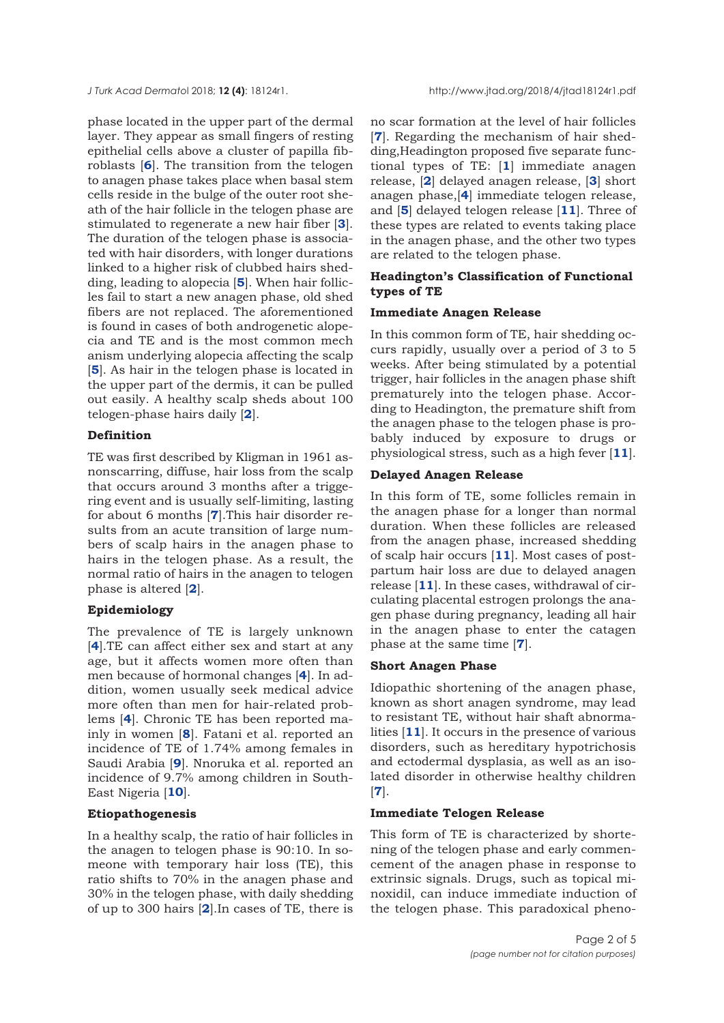phase located in the upper part of the dermal layer. They appear as small fingers of resting epithelial cells above a cluster of papilla fibroblasts [**6**]. The transition from the telogen to anagen phase takes place when basal stem cells reside in the bulge of the outer root sheath of the hair follicle in the telogen phase are stimulated to regenerate a new hair fiber [**3**]. The duration of the telogen phase is associated with hair disorders, with longer durations linked to a higher risk of clubbed hairs shedding, leading to alopecia [**5**]. When hair follicles fail to start a new anagen phase, old shed fibers are not replaced. The aforementioned is found in cases of both androgenetic alopecia and TE and is the most common mech anism underlying alopecia affecting the scalp [**5**]. As hair in the telogen phase is located in the upper part of the dermis, it can be pulled out easily. A healthy scalp sheds about 100 telogen-phase hairs daily [**2**].

#### **Definition**

TE was first described by Kligman in 1961 asnonscarring, diffuse, hair loss from the scalp that occurs around 3 months after a triggering event and is usually self-limiting, lasting for about 6 months [**7**].This hair disorder results from an acute transition of large numbers of scalp hairs in the anagen phase to hairs in the telogen phase. As a result, the normal ratio of hairs in the anagen to telogen phase is altered [**2**].

#### **Epidemiology**

The prevalence of TE is largely unknown [**4**].TE can affect either sex and start at any age, but it affects women more often than men because of hormonal changes [**4**]. In addition, women usually seek medical advice more often than men for hair-related problems [**4**]. Chronic TE has been reported mainly in women [**8**]. Fatani et al. reported an incidence of TE of 1.74% among females in Saudi Arabia [**9**]. Nnoruka et al. reported an incidence of 9.7% among children in South-East Nigeria [**10**].

## **Etiopathogenesis**

In a healthy scalp, the ratio of hair follicles in the anagen to telogen phase is 90:10. In someone with temporary hair loss (TE), this ratio shifts to 70% in the anagen phase and 30% in the telogen phase, with daily shedding of up to 300 hairs [**2**].In cases of TE, there is

no scar formation at the level of hair follicles [**7**]. Regarding the mechanism of hair shedding,Headington proposed five separate functional types of TE: [**1**] immediate anagen release, [**2**] delayed anagen release, [**3**] short anagen phase,[**4**] immediate telogen release, and [**5**] delayed telogen release [**11**]. Three of these types are related to events taking place in the anagen phase, and the other two types are related to the telogen phase.

# **Headington's Classification of Functional types of TE**

# **Immediate Anagen Release**

In this common form of TE, hair shedding occurs rapidly, usually over a period of 3 to 5 weeks. After being stimulated by a potential trigger, hair follicles in the anagen phase shift prematurely into the telogen phase. According to Headington, the premature shift from the anagen phase to the telogen phase is probably induced by exposure to drugs or physiological stress, such as a high fever [**11**].

# **Delayed Anagen Release**

In this form of TE, some follicles remain in the anagen phase for a longer than normal duration. When these follicles are released from the anagen phase, increased shedding of scalp hair occurs [**11**]. Most cases of postpartum hair loss are due to delayed anagen release [**11**]. In these cases, withdrawal of circulating placental estrogen prolongs the anagen phase during pregnancy, leading all hair in the anagen phase to enter the catagen phase at the same time [**7**].

#### **Short Anagen Phase**

Idiopathic shortening of the anagen phase, known as short anagen syndrome, may lead to resistant TE, without hair shaft abnormalities [**11**]. It occurs in the presence of various disorders, such as hereditary hypotrichosis and ectodermal dysplasia, as well as an isolated disorder in otherwise healthy children [**7**].

#### **Immediate Telogen Release**

This form of TE is characterized by shortening of the telogen phase and early commencement of the anagen phase in response to extrinsic signals. Drugs, such as topical minoxidil, can induce immediate induction of the telogen phase. This paradoxical pheno-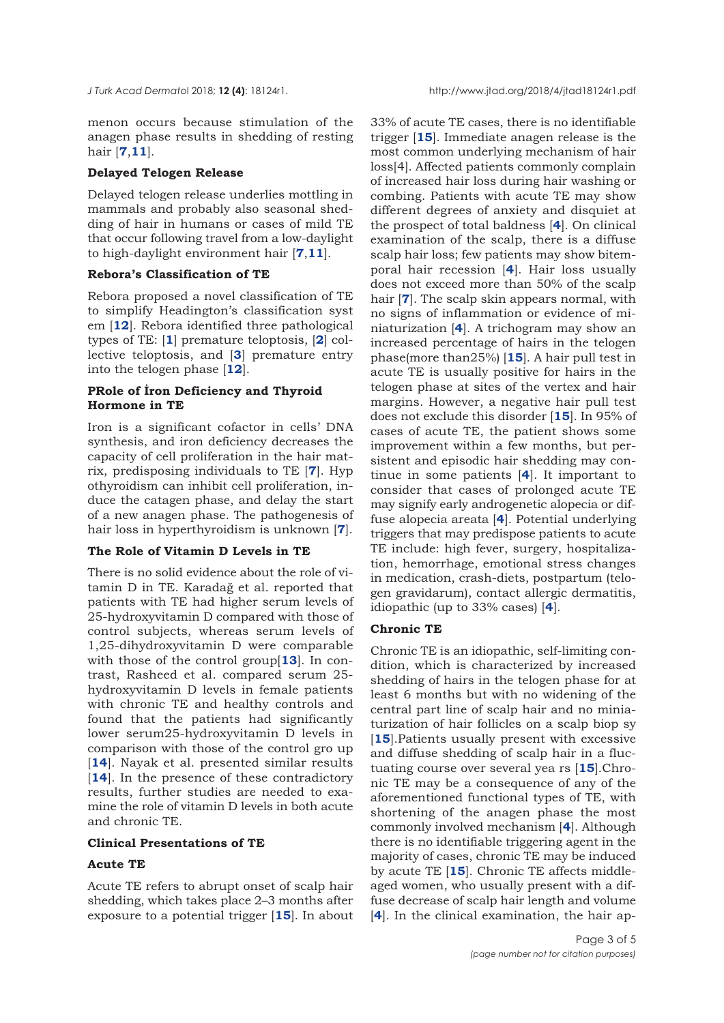menon occurs because stimulation of the anagen phase results in shedding of resting hair [**7**,**11**].

#### **Delayed Telogen Release**

Delayed telogen release underlies mottling in mammals and probably also seasonal shedding of hair in humans or cases of mild TE that occur following travel from a low-daylight to high-daylight environment hair [**7**,**11**].

## **Rebora's Classification of TE**

Rebora proposed a novel classification of TE to simplify Headington's classification syst em [**12**]. Rebora identified three pathological types of TE: [**1**] premature teloptosis, [**2**] collective teloptosis, and [**3**] premature entry into the telogen phase [**12**].

# **PRole of İron Deficiency and Thyroid Hormone in TE**

Iron is a significant cofactor in cells' DNA synthesis, and iron deficiency decreases the capacity of cell proliferation in the hair matrix, predisposing individuals to TE [**7**]. Hyp othyroidism can inhibit cell proliferation, induce the catagen phase, and delay the start of a new anagen phase. The pathogenesis of hair loss in hyperthyroidism is unknown [**7**].

## **The Role of Vitamin D Levels in TE**

There is no solid evidence about the role of vitamin D in TE. Karadağ et al. reported that patients with TE had higher serum levels of 25-hydroxyvitamin D compared with those of control subjects, whereas serum levels of 1,25-dihydroxyvitamin D were comparable with those of the control group[**13**]. In contrast, Rasheed et al. compared serum 25 hydroxyvitamin D levels in female patients with chronic TE and healthy controls and found that the patients had significantly lower serum25-hydroxyvitamin D levels in comparison with those of the control gro up [14]. Nayak et al. presented similar results [14]. In the presence of these contradictory results, further studies are needed to examine the role of vitamin D levels in both acute and chronic TE.

#### **Clinical Presentations of TE**

#### **Acute TE**

Acute TE refers to abrupt onset of scalp hair shedding, which takes place 2–3 months after exposure to a potential trigger [**15**]. In about

33% of acute TE cases, there is no identifiable trigger [**15**]. Immediate anagen release is the most common underlying mechanism of hair loss[4]. Affected patients commonly complain of increased hair loss during hair washing or combing. Patients with acute TE may show different degrees of anxiety and disquiet at the prospect of total baldness [**4**]. On clinical examination of the scalp, there is a diffuse scalp hair loss; few patients may show bitemporal hair recession [**4**]. Hair loss usually does not exceed more than 50% of the scalp hair [**7**]. The scalp skin appears normal, with no signs of inflammation or evidence of miniaturization [**4**]. A trichogram may show an increased percentage of hairs in the telogen phase(more than25%) [**15**]. A hair pull test in acute TE is usually positive for hairs in the telogen phase at sites of the vertex and hair margins. However, a negative hair pull test does not exclude this disorder [**15**]. In 95% of cases of acute TE, the patient shows some improvement within a few months, but persistent and episodic hair shedding may continue in some patients [**4**]. It important to consider that cases of prolonged acute TE may signify early androgenetic alopecia or diffuse alopecia areata [**4**]. Potential underlying triggers that may predispose patients to acute TE include: high fever, surgery, hospitalization, hemorrhage, emotional stress changes in medication, crash-diets, postpartum (telogen gravidarum), contact allergic dermatitis, idiopathic (up to 33% cases) [**4**].

#### **Chronic TE**

Chronic TE is an idiopathic, self-limiting condition, which is characterized by increased shedding of hairs in the telogen phase for at least 6 months but with no widening of the central part line of scalp hair and no miniaturization of hair follicles on a scalp biop sy [**15**].Patients usually present with excessive and diffuse shedding of scalp hair in a fluctuating course over several yea rs [**15**].Chronic TE may be a consequence of any of the aforementioned functional types of TE, with shortening of the anagen phase the most commonly involved mechanism [**4**]. Although there is no identifiable triggering agent in the majority of cases, chronic TE may be induced by acute TE [**15**]. Chronic TE affects middleaged women, who usually present with a diffuse decrease of scalp hair length and volume [**4**]. In the clinical examination, the hair ap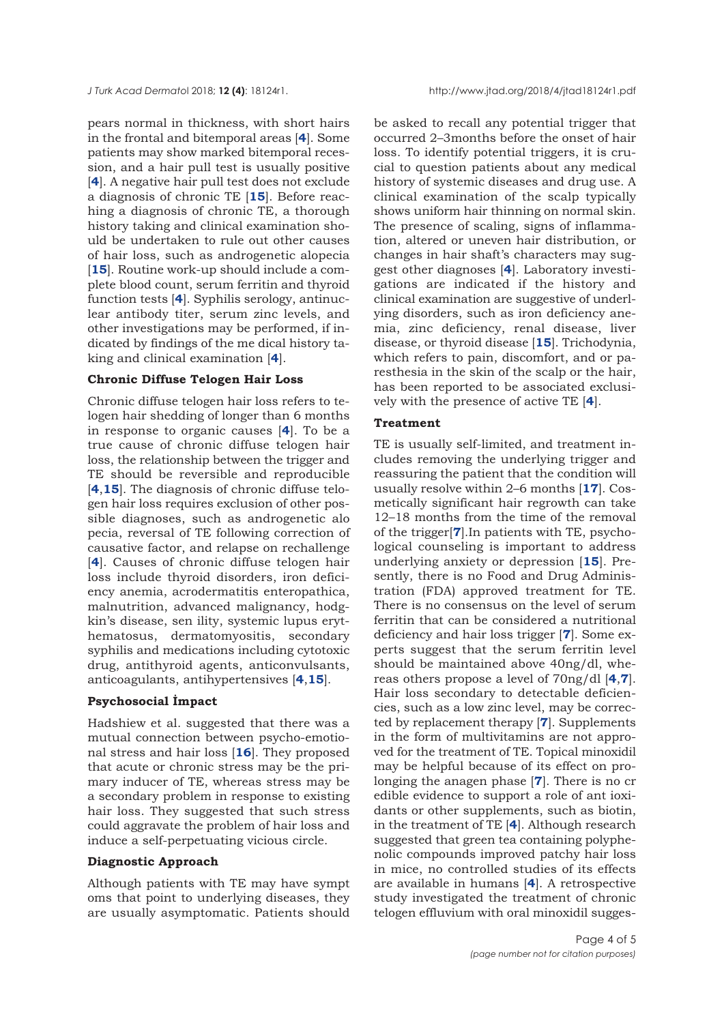pears normal in thickness, with short hairs in the frontal and bitemporal areas [**4**]. Some patients may show marked bitemporal recession, and a hair pull test is usually positive [**4**]. A negative hair pull test does not exclude a diagnosis of chronic TE [**15**]. Before reaching a diagnosis of chronic TE, a thorough history taking and clinical examination should be undertaken to rule out other causes of hair loss, such as androgenetic alopecia [**15**]. Routine work-up should include a complete blood count, serum ferritin and thyroid function tests [**4**]. Syphilis serology, antinuclear antibody titer, serum zinc levels, and other investigations may be performed, if indicated by findings of the me dical history taking and clinical examination [**4**].

## **Chronic Diffuse Telogen Hair Loss**

Chronic diffuse telogen hair loss refers to telogen hair shedding of longer than 6 months in response to organic causes [**4**]. To be a true cause of chronic diffuse telogen hair loss, the relationship between the trigger and TE should be reversible and reproducible [**4**,**15**]. The diagnosis of chronic diffuse telogen hair loss requires exclusion of other possible diagnoses, such as androgenetic alo pecia, reversal of TE following correction of causative factor, and relapse on rechallenge [**4**]. Causes of chronic diffuse telogen hair loss include thyroid disorders, iron deficiency anemia, acrodermatitis enteropathica, malnutrition, advanced malignancy, hodgkin's disease, sen ility, systemic lupus erythematosus, dermatomyositis, secondary syphilis and medications including cytotoxic drug, antithyroid agents, anticonvulsants, anticoagulants, antihypertensives [**4**,**15**].

## **Psychosocial İmpact**

Hadshiew et al. suggested that there was a mutual connection between psycho-emotional stress and hair loss [**16**]. They proposed that acute or chronic stress may be the primary inducer of TE, whereas stress may be a secondary problem in response to existing hair loss. They suggested that such stress could aggravate the problem of hair loss and induce a self-perpetuating vicious circle.

#### **Diagnostic Approach**

Although patients with TE may have sympt oms that point to underlying diseases, they are usually asymptomatic. Patients should be asked to recall any potential trigger that occurred 2–3months before the onset of hair loss. To identify potential triggers, it is crucial to question patients about any medical history of systemic diseases and drug use. A clinical examination of the scalp typically shows uniform hair thinning on normal skin. The presence of scaling, signs of inflammation, altered or uneven hair distribution, or changes in hair shaft's characters may suggest other diagnoses [**4**]. Laboratory investigations are indicated if the history and clinical examination are suggestive of underlying disorders, such as iron deficiency anemia, zinc deficiency, renal disease, liver disease, or thyroid disease [**15**]. Trichodynia, which refers to pain, discomfort, and or paresthesia in the skin of the scalp or the hair, has been reported to be associated exclusively with the presence of active TE [**4**].

## **Treatment**

TE is usually self-limited, and treatment includes removing the underlying trigger and reassuring the patient that the condition will usually resolve within 2–6 months [**17**]. Cosmetically significant hair regrowth can take 12–18 months from the time of the removal of the trigger[**7**].In patients with TE, psychological counseling is important to address underlying anxiety or depression [**15**]. Presently, there is no Food and Drug Administration (FDA) approved treatment for TE. There is no consensus on the level of serum ferritin that can be considered a nutritional deficiency and hair loss trigger [**7**]. Some experts suggest that the serum ferritin level should be maintained above 40ng/dl, whereas others propose a level of 70ng/dl [**4**,**7**]. Hair loss secondary to detectable deficiencies, such as a low zinc level, may be corrected by replacement therapy [**7**]. Supplements in the form of multivitamins are not approved for the treatment of TE. Topical minoxidil may be helpful because of its effect on prolonging the anagen phase [**7**]. There is no cr edible evidence to support a role of ant ioxidants or other supplements, such as biotin, in the treatment of TE [**4**]. Although research suggested that green tea containing polyphenolic compounds improved patchy hair loss in mice, no controlled studies of its effects are available in humans [**4**]. A retrospective study investigated the treatment of chronic telogen effluvium with oral minoxidil sugges-